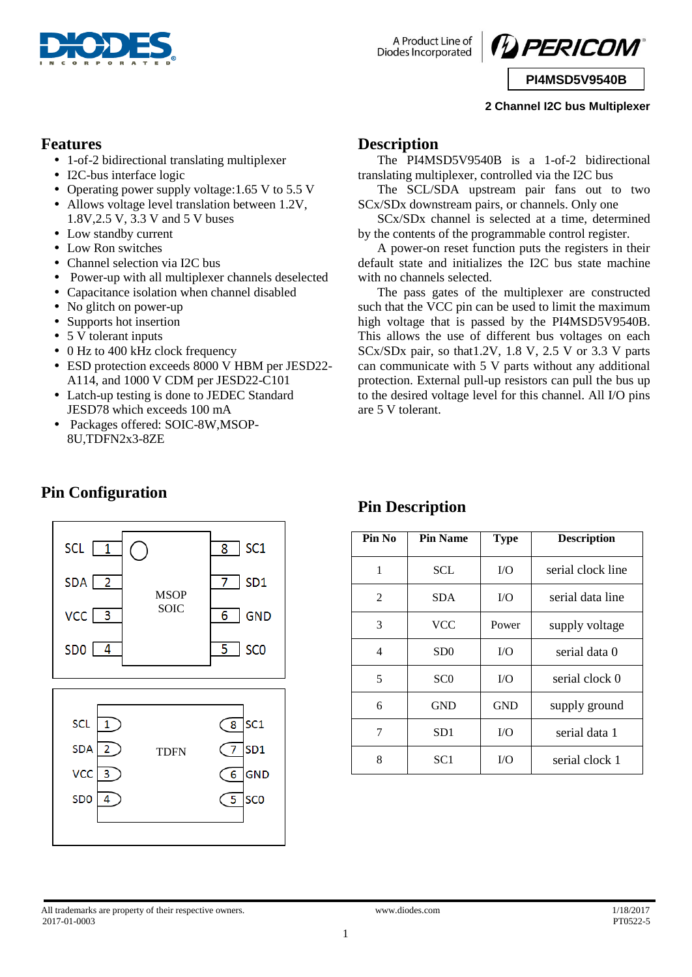

A Product Line of **Diodes Incorporated** 



**PI4MSD5V9540B**

### **2 Channel I2C bus Multiplexer**

### **Features**

- 1-of-2 bidirectional translating multiplexer
- I2C-bus interface logic
- Operating power supply voltage: 1.65 V to 5.5 V
- Allows voltage level translation between 1.2V, 1.8V,2.5 V, 3.3 V and 5 V buses
- Low standby current
- Low Ron switches
- Channel selection via I2C bus
- Power-up with all multiplexer channels deselected
- Capacitance isolation when channel disabled
- No glitch on power-up
- Supports hot insertion
- 5 V tolerant inputs

**Pin Configuration**

- 0 Hz to 400 kHz clock frequency
- ESD protection exceeds 8000 V HBM per JESD22- A114, and 1000 V CDM per JESD22-C101
- Latch-up testing is done to JEDEC Standard JESD78 which exceeds 100 mA
- Packages offered: SOIC-8W,MSOP-8U,TDFN2x3-8ZE

### **Description**

The PI4MSD5V9540B is a 1-of-2 bidirectional translating multiplexer, controlled via the I2C bus

The SCL/SDA upstream pair fans out to two SCx/SDx downstream pairs, or channels. Only one

SCx/SDx channel is selected at a time, determined by the contents of the programmable control register.

A power-on reset function puts the registers in their default state and initializes the I2C bus state machine with no channels selected.

The pass gates of the multiplexer are constructed such that the VCC pin can be used to limit the maximum high voltage that is passed by the PI4MSD5V9540B. This allows the use of different bus voltages on each  $SCx/SDx$  pair, so that 1.2V, 1.8 V, 2.5 V or 3.3 V parts can communicate with 5 V parts without any additional protection. External pull-up resistors can pull the bus up to the desired voltage level for this channel. All I/O pins are 5 V tolerant.

| SCL [<br>$\overline{1}$    |             | SC <sub>1</sub><br>8          |
|----------------------------|-------------|-------------------------------|
| $SDA$ 2                    | <b>MSOP</b> | SD <sub>1</sub><br>7          |
| $VCC$ $3$                  | <b>SOIC</b> | <b>GND</b><br>6               |
| SDO [<br>$\overline{4}$    |             | <b>SCO</b><br>$\overline{5}$  |
|                            |             |                               |
|                            |             |                               |
|                            |             |                               |
| <b>SCL</b><br>$\mathbf{1}$ |             | SC <sub>1</sub><br>$\sqrt{8}$ |
| <b>SDA</b><br>2            | <b>TDFN</b> | SD <sub>1</sub><br>7          |
| <b>VCC</b><br>3            |             | <b>GND</b><br>6               |
| SD <sub>0</sub><br>4       |             | <b>SCO</b><br>5               |
|                            |             |                               |

# **Pin Description**

| Pin No         | <b>Pin Name</b> | <b>Type</b> | <b>Description</b> |
|----------------|-----------------|-------------|--------------------|
| 1              | SCL             | I/O         | serial clock line  |
| $\overline{2}$ | <b>SDA</b>      | I/O         | serial data line   |
| 3              | <b>VCC</b>      | Power       | supply voltage     |
| 4              | SD <sub>0</sub> | I/O         | serial data 0      |
| 5              | SC <sub>0</sub> | I/O         | serial clock 0     |
| 6              | <b>GND</b>      | <b>GND</b>  | supply ground      |
| 7              | SD <sub>1</sub> | $\rm LO$    | serial data 1      |
| 8              | SC <sub>1</sub> | I/O         | serial clock 1     |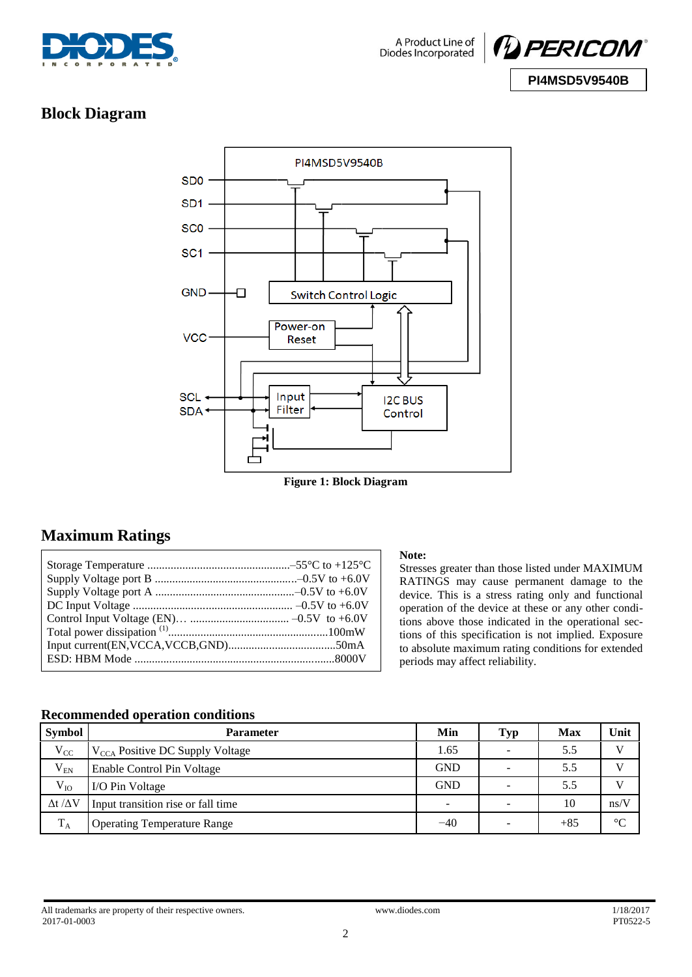



# **Block Diagram**



**Figure 1: Block Diagram**

# **Maximum Ratings**

#### **Note:**

Stresses greater than those listed under MAXIMUM RATINGS may cause permanent damage to the device. This is a stress rating only and functional operation of the device at these or any other conditions above those indicated in the operational sections of this specification is not implied. Exposure to absolute maximum rating conditions for extended periods may affect reliability.

### **Recommended operation conditions**

| <b>Symbol</b>         | <b>Parameter</b>                            | Min                      | <b>Typ</b> | Max   | Unit         |
|-----------------------|---------------------------------------------|--------------------------|------------|-------|--------------|
| $V_{CC}$              | V <sub>CCA</sub> Positive DC Supply Voltage | 1.65                     | -          | 5.5   | $\mathbf{V}$ |
| $V_{EN}$              | Enable Control Pin Voltage                  | <b>GND</b>               |            | 5.5   | $\mathbf{V}$ |
| $V_{IO}$              | I/O Pin Voltage                             | <b>GND</b>               | -          | 5.5   | $\mathbf{V}$ |
| $\Delta t / \Delta V$ | Input transition rise or fall time          | $\overline{\phantom{a}}$ |            | 10    | ns/V         |
| $T_A$                 | <b>Operating Temperature Range</b>          | $-40$                    | -          | $+85$ | C            |

All trademarks are property of their respective owners.<br>
2017-01-0003<br>
PT0522-5<br>
2017-01-0003<br>
PT0522-5 2017-01-0003 PT0522-5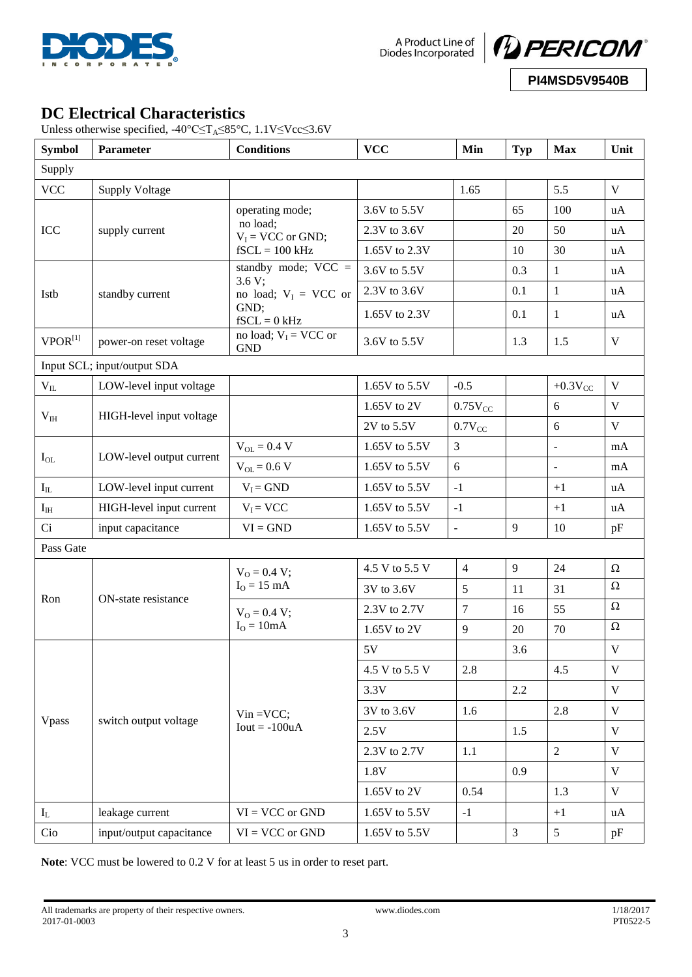

A Product Line of<br>Diodes Incorporated



**PI4MSD5V9540B**

# **DC Electrical Characteristics**

Unless otherwise specified,  $-40^{\circ}$ C≤T<sub>A</sub>≤85°C, 1.1V≤Vcc≤3.6V

| <b>Symbol</b>                        | Parameter                   | <b>Conditions</b>                     | <b>VCC</b><br>Min                 |                | <b>Typ</b>     | <b>Max</b>               | Unit         |
|--------------------------------------|-----------------------------|---------------------------------------|-----------------------------------|----------------|----------------|--------------------------|--------------|
| Supply                               |                             |                                       |                                   |                |                |                          |              |
| <b>VCC</b>                           | <b>Supply Voltage</b>       |                                       |                                   | 1.65           |                | 5.5                      | $\mathbf V$  |
|                                      |                             | operating mode;                       | 3.6V to 5.5V                      |                | 65             | 100                      | uA           |
| ICC                                  | supply current              | no load;<br>$V_I = VCC$ or GND;       | 2.3V to 3.6V                      |                | 20             | 50                       | uA           |
|                                      |                             | $fSCL = 100 kHz$                      | 1.65V to 2.3V                     |                | 10             | 30                       | uA           |
|                                      |                             | standby mode; $VCC =$                 | 3.6V to 5.5V                      |                | 0.3            | $\mathbf{1}$             | uA           |
| Istb                                 | standby current             | 3.6 V;<br>no load; $V_I$ = VCC or     | 2.3V to 3.6V                      |                | 0.1            | $\mathbf{1}$             | uA           |
|                                      |                             | GND;<br>$fSCL = 0$ kHz                | 1.65V to 2.3V                     |                | 0.1            | $\mathbf{1}$             | uA           |
| $VPOR^{[1]}$                         | power-on reset voltage      | no load; $V_I$ = VCC or<br><b>GND</b> | 3.6V to 5.5V                      |                | 1.3            | 1.5                      | $\mathbf V$  |
|                                      | Input SCL; input/output SDA |                                       |                                   |                |                |                          |              |
| $\rm V_{II}$                         | LOW-level input voltage     |                                       | 1.65V to 5.5V                     | $-0.5$         |                | $+0.3V_{CC}$             | $\mathbf V$  |
|                                      | HIGH-level input voltage    |                                       | 1.65V to 2V                       | $0.75V_{CC}$   |                | 6                        | V            |
| $V_{IH}$                             |                             |                                       | 2V to 5.5V                        | $0.7V_{CC}$    |                | 6                        | $\mathbf V$  |
|                                      |                             | $V_{OL} = 0.4 V$                      | 1.65V to 5.5V                     | $\overline{3}$ |                |                          | mA           |
| LOW-level output current<br>$I_{OL}$ |                             | $V_{OL} = 0.6 V$                      | 1.65V to 5.5V                     | 6              |                | $\overline{\phantom{a}}$ | mA           |
| $\mathbf{I}_{\rm IL}$                | LOW-level input current     | $V_I = GND$                           | 1.65V to 5.5V                     | $-1$           |                | $+1$                     | uA           |
| $\mathbf{I}_{\rm IH}$                | HIGH-level input current    | $V_I = VCC$                           | 1.65V to 5.5V                     | $-1$           |                | $+1$                     | uA           |
| Ci                                   | input capacitance           | $VI = GND$                            | 1.65V to 5.5V                     | $\Box$         | 9              | 10                       | pF           |
| Pass Gate                            |                             |                                       |                                   |                |                |                          |              |
|                                      |                             | $V_0 = 0.4 V;$                        | 4.5 V to 5.5 V                    | $\overline{4}$ | 9              | 24                       | $\Omega$     |
|                                      |                             | $IO = 15 mA$                          | 3V to 3.6V                        | 5              | 11             | 31                       | $\Omega$     |
| Ron                                  | ON-state resistance         | $V_0 = 0.4 V;$                        | 2.3V to 2.7V                      | $\tau$         | 16             | 55                       | $\Omega$     |
|                                      |                             | $IO = 10mA$                           | 1.65V to 2V                       | 9              | 20             | 70                       | $\Omega$     |
|                                      |                             |                                       | 5V                                |                | 3.6            |                          | $\mathbf V$  |
|                                      |                             |                                       | 4.5 V to 5.5 V                    | 2.8            |                | 4.5                      | $\mathbf{V}$ |
|                                      |                             |                                       | 3.3V                              |                | 2.2            |                          | $\mathbf{V}$ |
|                                      |                             | $Vin = VCC;$                          | 3V to 3.6V                        | 1.6            |                | 2.8                      | $\mathbf{V}$ |
| Vpass                                | switch output voltage       | $Iout = -100uA$                       | 2.5V                              |                | 1.5            |                          | $\mathbf V$  |
|                                      |                             |                                       | 2.3V to 2.7V                      | 1.1            |                | $\overline{2}$           | V            |
|                                      |                             |                                       | 1.8V                              |                | 0.9            |                          | $\mathbf V$  |
|                                      |                             |                                       | $1.65\mathrm{V}$ to $2\mathrm{V}$ | 0.54           |                | 1.3                      | V            |
| $I_L$                                | leakage current             | $VI = VCC$ or $GND$                   | 1.65V to 5.5V                     | $-1$           |                | $+1$                     | uA           |
| Cio                                  | input/output capacitance    | $VI = VCC$ or $GND$                   | 1.65V to 5.5V                     |                | $\overline{3}$ | $5\overline{)}$          | pF           |

**Note**: VCC must be lowered to 0.2 V for at least 5 us in order to reset part.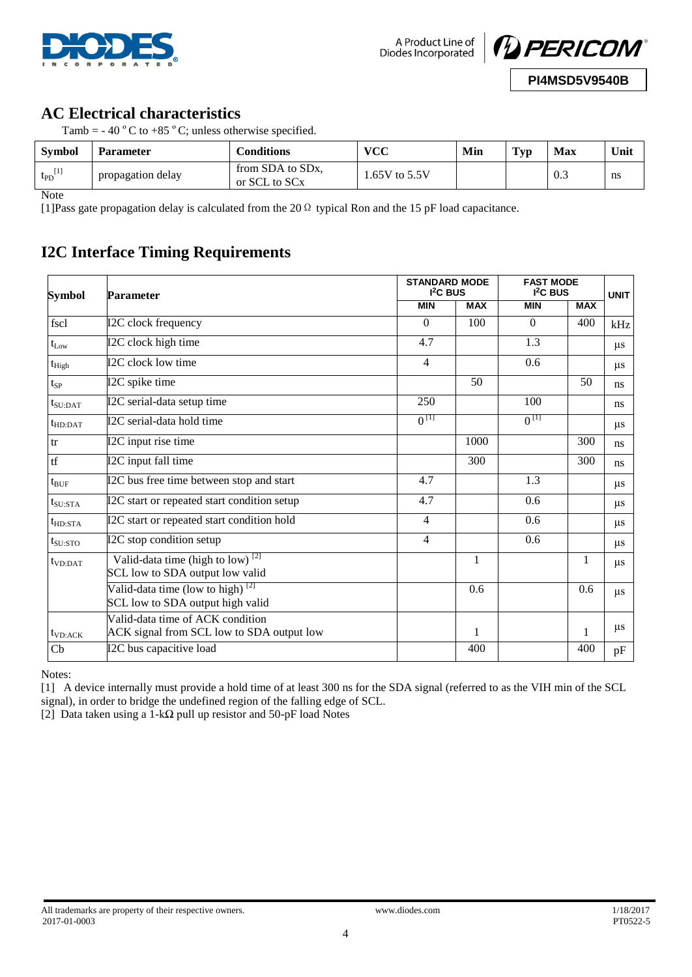



# **AC Electrical characteristics**

| Tamb = $-40$ °C to $+85$ °C; unless otherwise specified. |  |  |
|----------------------------------------------------------|--|--|
|                                                          |  |  |

| <b>Symbol</b>  | Parameter         | Conditions                                    | vcc            | Min | $\mathbf{T}_{\mathbf{V}\mathbf{p}}$ | <b>Max</b> | Unit |
|----------------|-------------------|-----------------------------------------------|----------------|-----|-------------------------------------|------------|------|
| $t_{PD}^{[1]}$ | propagation delay | from SDA to SDx,<br>or SCL to SC <sub>x</sub> | $.65V$ to 5.5V |     |                                     | 0.3        | ns   |

**Note** 

[1]Pass gate propagation delay is calculated from the 20Ω typical Ron and the 15 pF load capacitance.

# **I2C Interface Timing Requirements**

| Symbol              | <b>Parameter</b>                                                                              | <b>STANDARD MODE</b><br>I <sup>2</sup> C BUS |              | <b>FAST MODE</b><br>$I2C$ BUS | <b>UNIT</b>  |         |
|---------------------|-----------------------------------------------------------------------------------------------|----------------------------------------------|--------------|-------------------------------|--------------|---------|
|                     |                                                                                               | <b>MIN</b>                                   | <b>MAX</b>   | <b>MIN</b>                    | <b>MAX</b>   |         |
| fscl                | I2C clock frequency                                                                           | $\theta$                                     | 100          | $\theta$                      | 400          | kHz     |
| $t_{Low}$           | I2C clock high time                                                                           | 4.7                                          |              | 1.3                           |              | $\mu$ s |
| $t_{High}$          | I2C clock low time                                                                            | $\overline{4}$                               |              | 0.6                           |              | $\mu$ s |
| $t_{SP}$            | I2C spike time                                                                                |                                              | 50           |                               | 50           | ns      |
| $t_{\text{SU:DAT}}$ | I2C serial-data setup time                                                                    | 250                                          |              | 100                           |              | ns      |
| $t_{HD:DAT}$        | I2C serial-data hold time                                                                     | $0^{[1]}$                                    |              | $0^{[1]}$                     |              | $\mu$ s |
| tr                  | I2C input rise time                                                                           |                                              | 1000         |                               | 300          | ns      |
| tf                  | I2C input fall time                                                                           |                                              | 300          |                               | 300          | ns      |
| $t_{\text{BUF}}$    | I2C bus free time between stop and start                                                      | 4.7                                          |              | 1.3                           |              | $\mu$ s |
| $t_{\rm SU:STA}$    | I2C start or repeated start condition setup                                                   | 4.7                                          |              | 0.6                           |              | $\mu$ s |
| $t_{HD:STA}$        | I2C start or repeated start condition hold                                                    | $\overline{4}$                               |              | 0.6                           |              | $\mu$ s |
| $t_{\rm SU:STO}$    | I2C stop condition setup                                                                      | $\overline{4}$                               |              | 0.6                           |              | $\mu$ s |
| $t_{VD:DAT}$        | Valid-data time (high to $\overline{low}$ ) <sup>[2]</sup><br>SCL low to SDA output low valid |                                              | $\mathbf{1}$ |                               | $\mathbf{1}$ | $\mu$ s |
|                     | Valid-data time (low to high) $^{[2]}$<br>SCL low to SDA output high valid                    |                                              | 0.6          |                               | 0.6          | $\mu$ s |
| $t_{VD:ACK}$        | Valid-data time of ACK condition<br>ACK signal from SCL low to SDA output low                 |                                              | 1            |                               | 1            | $\mu$ s |
| $\mathbf{C}$        | I2C bus capacitive load                                                                       |                                              | 400          |                               | 400          | pF      |

Notes:

[1] A device internally must provide a hold time of at least 300 ns for the SDA signal (referred to as the VIH min of the SCL signal), in order to bridge the undefined region of the falling edge of SCL.

[2] Data taken using a 1-kΩ pull up resistor and 50-pF load Notes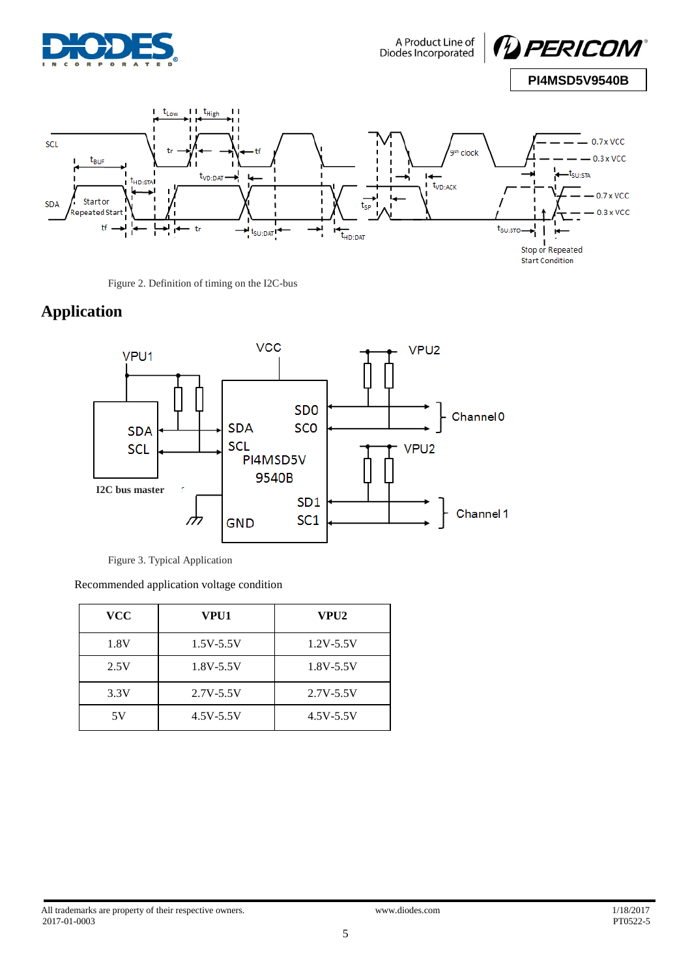



Figure 2. Definition of timing on the I2C-bus

# **Application**



Figure 3. Typical Application

Recommended application voltage condition

| <b>VCC</b> | VPU1          | VPU2          |
|------------|---------------|---------------|
| 1.8V       | $1.5V - 5.5V$ | $1.2V - 5.5V$ |
| 2.5V       | $1.8V - 5.5V$ | $1.8V - 5.5V$ |
| 3.3V       | $2.7V - 5.5V$ | $2.7V - 5.5V$ |
| 5V         | $4.5V - 5.5V$ | $4.5V - 5.5V$ |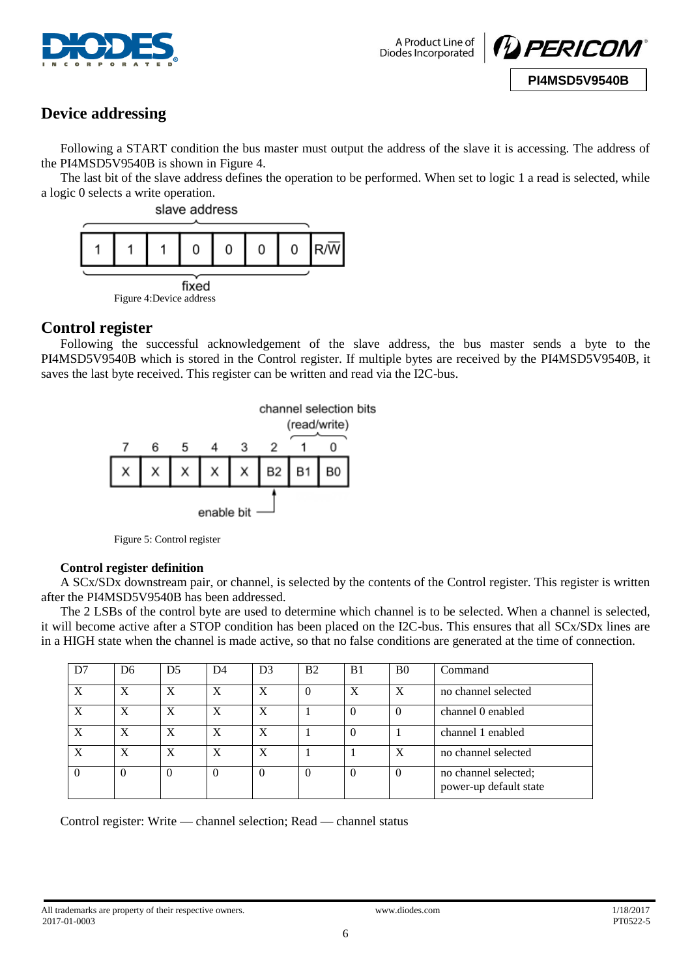

A Product Line of Diodes Incorporated



**PI4MSD5V9540B**

## **Device addressing**

Following a START condition the bus master must output the address of the slave it is accessing. The address of the PI4MSD5V9540B is shown in Figure 4.

The last bit of the slave address defines the operation to be performed. When set to logic 1 a read is selected, while a logic 0 selects a write operation.



### **Control register**

Following the successful acknowledgement of the slave address, the bus master sends a byte to the PI4MSD5V9540B which is stored in the Control register. If multiple bytes are received by the PI4MSD5V9540B, it saves the last byte received. This register can be written and read via the I2C-bus.





### **Control register definition**

A SCx/SDx downstream pair, or channel, is selected by the contents of the Control register. This register is written after the PI4MSD5V9540B has been addressed.

The 2 LSBs of the control byte are used to determine which channel is to be selected. When a channel is selected, it will become active after a STOP condition has been placed on the I2C-bus. This ensures that all SCx/SDx lines are in a HIGH state when the channel is made active, so that no false conditions are generated at the time of connection.

| D7               | D <sub>6</sub> | D <sub>5</sub>   | D4       | D <sub>3</sub> | B <sub>2</sub> | B <sub>1</sub> | <sub>B0</sub> | Command                                        |
|------------------|----------------|------------------|----------|----------------|----------------|----------------|---------------|------------------------------------------------|
| X                | X              | $\mathbf{X}$     | X        | X              | $\Omega$       | X              | X             | no channel selected                            |
| X                | X              | $\boldsymbol{X}$ | X        | X              |                | $\Omega$       | $\left($      | channel 0 enabled                              |
| $\boldsymbol{X}$ | X              | X                | Х        | X              |                | $\theta$       |               | channel 1 enabled                              |
| X                | X              | X                | X        | X              |                |                | X             | no channel selected                            |
| $\theta$         | $\theta$       | $\Omega$         | $\theta$ | $\Omega$       | $\theta$       | $\Omega$       | $\theta$      | no channel selected;<br>power-up default state |

Control register: Write — channel selection; Read — channel status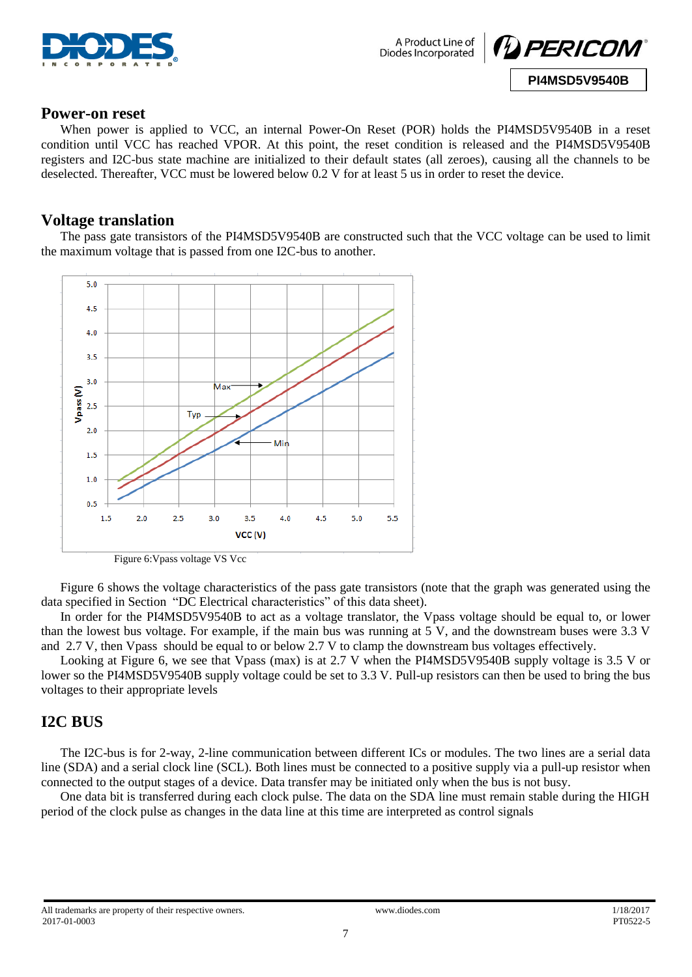



### **Power-on reset**

When power is applied to VCC, an internal Power-On Reset (POR) holds the PI4MSD5V9540B in a reset condition until VCC has reached VPOR. At this point, the reset condition is released and the PI4MSD5V9540B registers and I2C-bus state machine are initialized to their default states (all zeroes), causing all the channels to be deselected. Thereafter, VCC must be lowered below 0.2 V for at least 5 us in order to reset the device.

### **Voltage translation**

The pass gate transistors of the PI4MSD5V9540B are constructed such that the VCC voltage can be used to limit the maximum voltage that is passed from one I2C-bus to another.



Figure 6:Vpass voltage VS Vcc

Figure 6 shows the voltage characteristics of the pass gate transistors (note that the graph was generated using the data specified in Section "DC Electrical characteristics" of this data sheet).

In order for the PI4MSD5V9540B to act as a voltage translator, the Vpass voltage should be equal to, or lower than the lowest bus voltage. For example, if the main bus was running at 5 V, and the downstream buses were 3.3 V and 2.7 V, then Vpass should be equal to or below 2.7 V to clamp the downstream bus voltages effectively.

Looking at Figure 6, we see that Vpass (max) is at 2.7 V when the PI4MSD5V9540B supply voltage is 3.5 V or lower so the PI4MSD5V9540B supply voltage could be set to 3.3 V. Pull-up resistors can then be used to bring the bus voltages to their appropriate levels

### **I2C BUS**

The I2C-bus is for 2-way, 2-line communication between different ICs or modules. The two lines are a serial data line (SDA) and a serial clock line (SCL). Both lines must be connected to a positive supply via a pull-up resistor when connected to the output stages of a device. Data transfer may be initiated only when the bus is not busy.

One data bit is transferred during each clock pulse. The data on the SDA line must remain stable during the HIGH period of the clock pulse as changes in the data line at this time are interpreted as control signals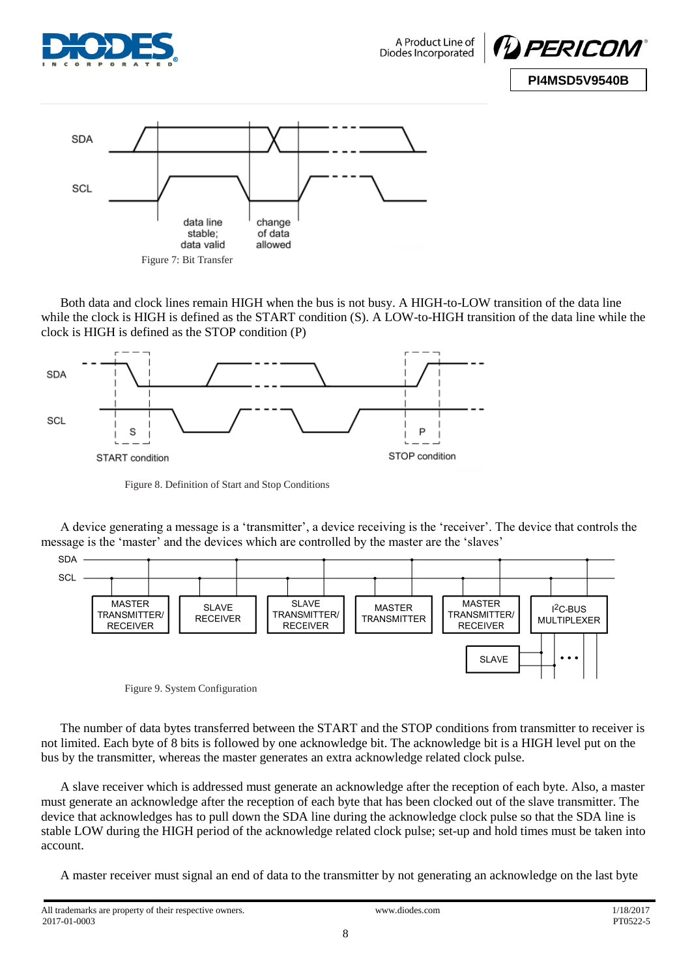

A Product Line of Diodes Incorporated





Both data and clock lines remain HIGH when the bus is not busy. A HIGH-to-LOW transition of the data line while the clock is HIGH is defined as the START condition (S). A LOW-to-HIGH transition of the data line while the clock is HIGH is defined as the STOP condition (P)



Figure 8. Definition of Start and Stop Conditions

A device generating a message is a 'transmitter', a device receiving is the 'receiver'. The device that controls the message is the 'master' and the devices which are controlled by the master are the 'slaves'



Figure 9. System Configuration

The number of data bytes transferred between the START and the STOP conditions from transmitter to receiver is not limited. Each byte of 8 bits is followed by one acknowledge bit. The acknowledge bit is a HIGH level put on the bus by the transmitter, whereas the master generates an extra acknowledge related clock pulse.

A slave receiver which is addressed must generate an acknowledge after the reception of each byte. Also, a master must generate an acknowledge after the reception of each byte that has been clocked out of the slave transmitter. The device that acknowledges has to pull down the SDA line during the acknowledge clock pulse so that the SDA line is stable LOW during the HIGH period of the acknowledge related clock pulse; set-up and hold times must be taken into account.

A master receiver must signal an end of data to the transmitter by not generating an acknowledge on the last byte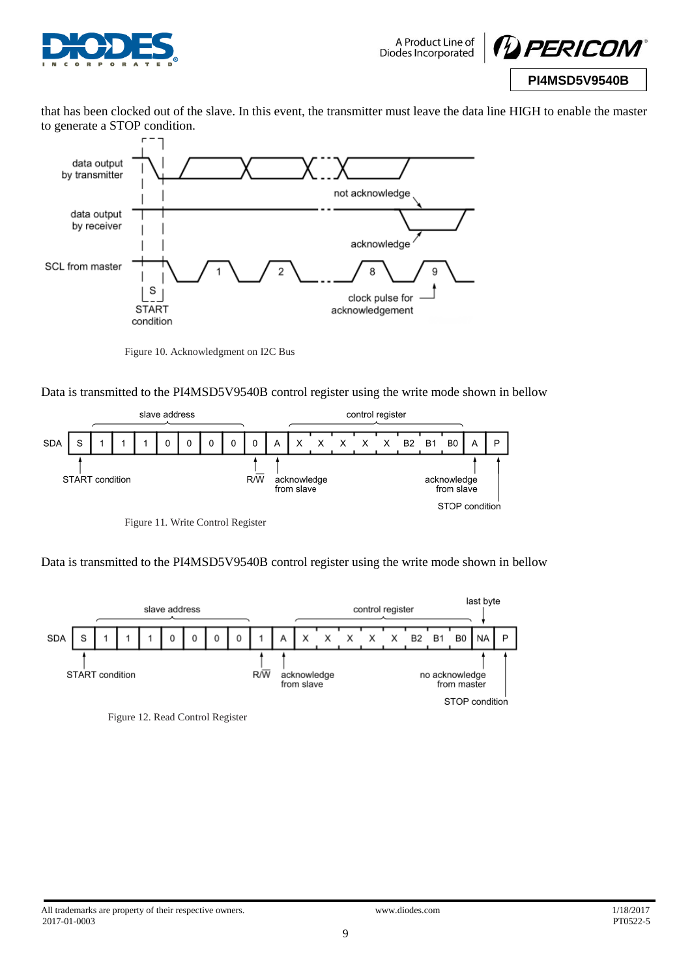



that has been clocked out of the slave. In this event, the transmitter must leave the data line HIGH to enable the master to generate a STOP condition.



Figure 10. Acknowledgment on I2C Bus

Data is transmitted to the PI4MSD5V9540B control register using the write mode shown in bellow



Figure 11. Write Control Register

Data is transmitted to the PI4MSD5V9540B control register using the write mode shown in bellow



Figure 12. Read Control Register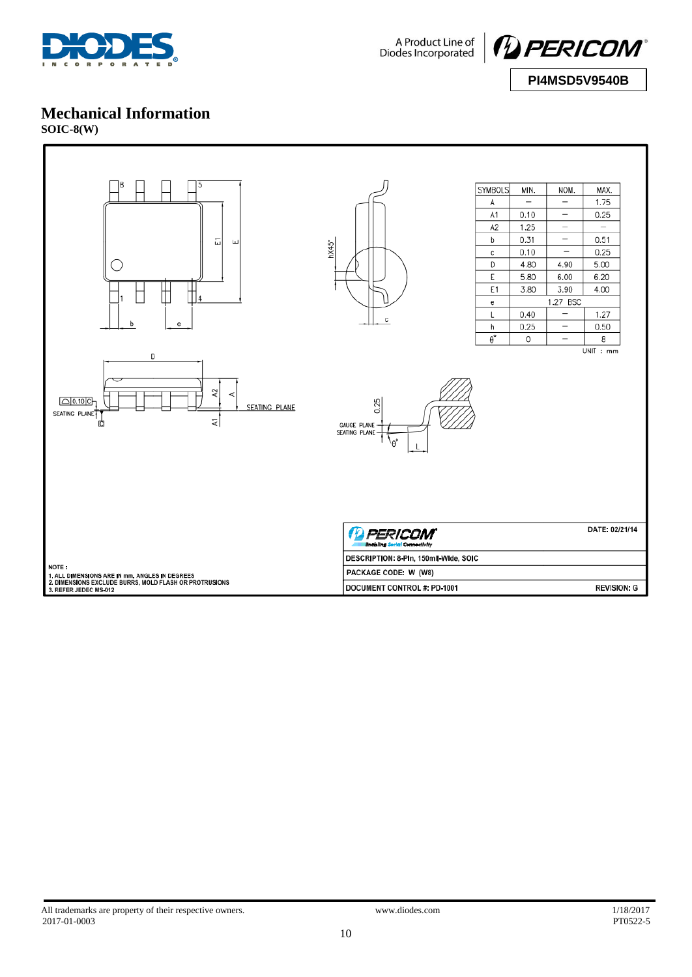





### **Mechanical Information**

**SOIC-8(W)**

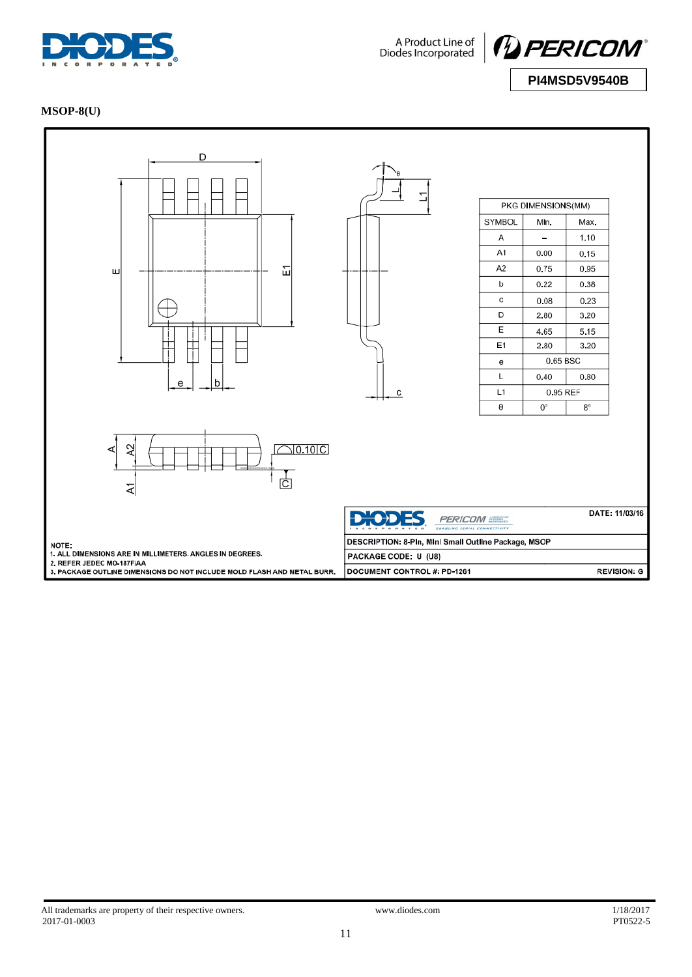

A Product Line of<br>Diodes Incorporated



**PI4MSD5V9540B**

### **MSOP-8(U)**

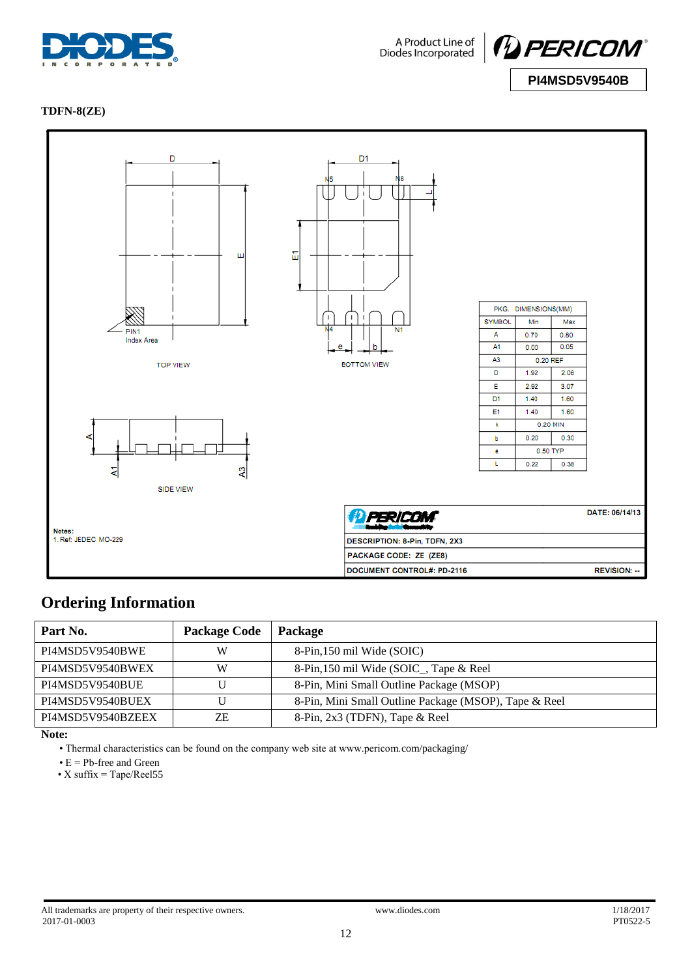



**PI4MSD5V9540B**

#### **TDFN-8(ZE)**



### **Ordering Information**

| Part No.          | <b>Package Code</b> | <b>Package</b>                                        |
|-------------------|---------------------|-------------------------------------------------------|
| PI4MSD5V9540BWE   | W                   | 8-Pin, 150 mil Wide (SOIC)                            |
| PI4MSD5V9540BWEX  | W                   | 8-Pin, 150 mil Wide (SOIC_, Tape & Reel               |
| PI4MSD5V9540BUE   | U                   | 8-Pin, Mini Small Outline Package (MSOP)              |
| PI4MSD5V9540BUEX  | U                   | 8-Pin, Mini Small Outline Package (MSOP), Tape & Reel |
| PI4MSD5V9540BZEEX | ΖE                  | 8-Pin, 2x3 (TDFN), Tape & Reel                        |

**Note:** 

• Thermal characteristics can be found on the company web site at www.pericom.com/packaging/

• E = Pb-free and Green

• X suffix  $=$  Tape/Reel55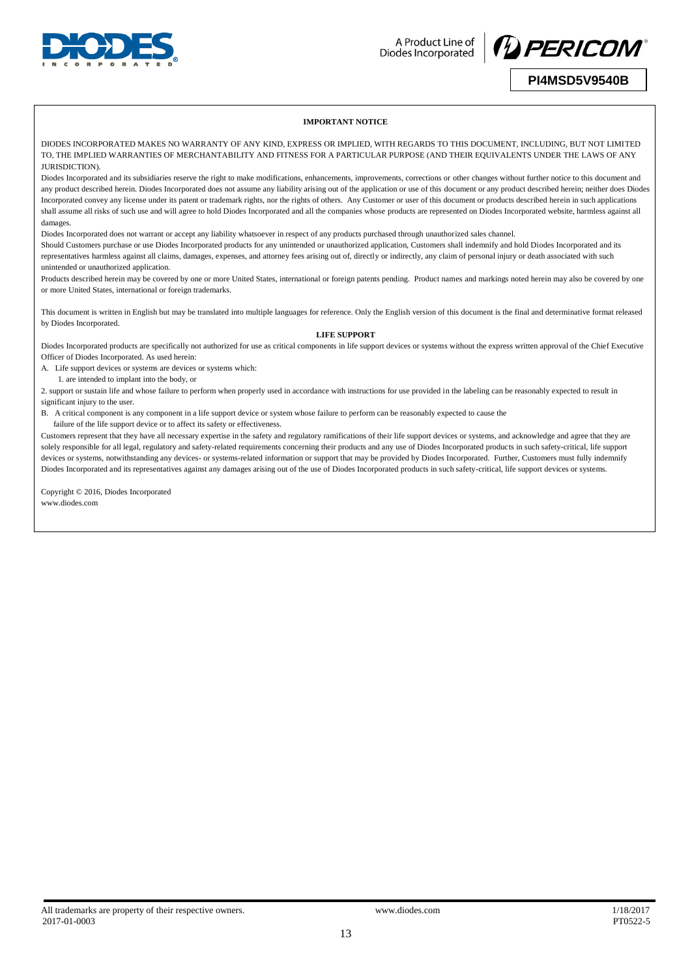



#### **PI4MSD5V9540B**

#### **IMPORTANT NOTICE**

DIODES INCORPORATED MAKES NO WARRANTY OF ANY KIND, EXPRESS OR IMPLIED, WITH REGARDS TO THIS DOCUMENT, INCLUDING, BUT NOT LIMITED TO, THE IMPLIED WARRANTIES OF MERCHANTABILITY AND FITNESS FOR A PARTICULAR PURPOSE (AND THEIR EQUIVALENTS UNDER THE LAWS OF ANY JURISDICTION).

Diodes Incorporated and its subsidiaries reserve the right to make modifications, enhancements, improvements, corrections or other changes without further notice to this document and any product described herein. Diodes Incorporated does not assume any liability arising out of the application or use of this document or any product described herein; neither does Diodes Incorporated convey any license under its patent or trademark rights, nor the rights of others. Any Customer or user of this document or products described herein in such applications shall assume all risks of such use and will agree to hold Diodes Incorporated and all the companies whose products are represented on Diodes Incorporated website, harmless against all damages.

Diodes Incorporated does not warrant or accept any liability whatsoever in respect of any products purchased through unauthorized sales channel.

Should Customers purchase or use Diodes Incorporated products for any unintended or unauthorized application, Customers shall indemnify and hold Diodes Incorporated and its representatives harmless against all claims, damages, expenses, and attorney fees arising out of, directly or indirectly, any claim of personal injury or death associated with such unintended or unauthorized application.

Products described herein may be covered by one or more United States, international or foreign patents pending. Product names and markings noted herein may also be covered by one or more United States, international or foreign trademarks.

This document is written in English but may be translated into multiple languages for reference. Only the English version of this document is the final and determinative format released by Diodes Incorporated.

#### **LIFE SUPPORT**

Diodes Incorporated products are specifically not authorized for use as critical components in life support devices or systems without the express written approval of the Chief Executive Officer of Diodes Incorporated. As used herein:

A. Life support devices or systems are devices or systems which:

1. are intended to implant into the body, or

2. support or sustain life and whose failure to perform when properly used in accordance with instructions for use provided in the labeling can be reasonably expected to result in significant injury to the user.

B. A critical component is any component in a life support device or system whose failure to perform can be reasonably expected to cause the

failure of the life support device or to affect its safety or effectiveness.

Customers represent that they have all necessary expertise in the safety and regulatory ramifications of their life support devices or systems, and acknowledge and agree that they are solely responsible for all legal, regulatory and safety-related requirements concerning their products and any use of Diodes Incorporated products in such safety-critical, life support devices or systems, notwithstanding any devices- or systems-related information or support that may be provided by Diodes Incorporated. Further, Customers must fully indemnify Diodes Incorporated and its representatives against any damages arising out of the use of Diodes Incorporated products in such safety-critical, life support devices or systems.

Copyright © 2016, Diodes Incorporated www.diodes.com